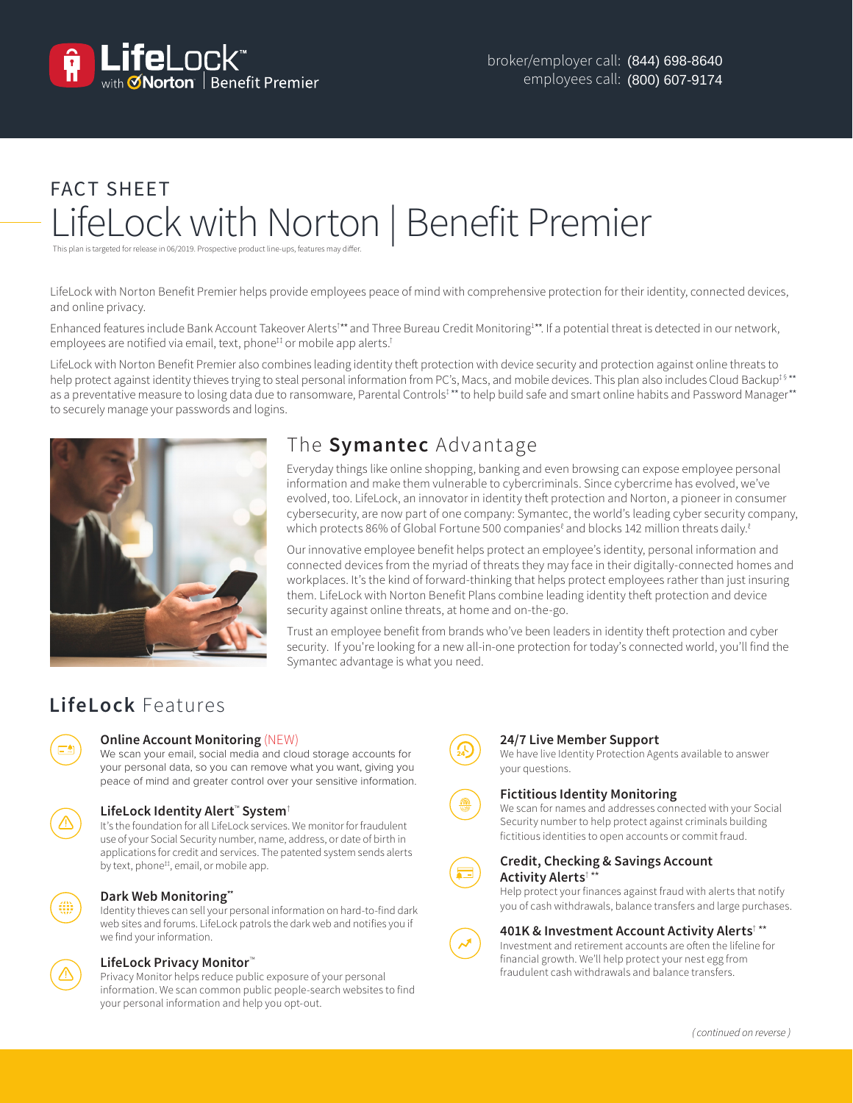

# FACT SHEET LifeLock with Norton | Benefit Premier

This plan is targeted for release in 06/2019. Prospective product line-ups, features may differ.

LifeLock with Norton Benefit Premier helps provide employees peace of mind with comprehensive protection for their identity, connected devices, and online privacy.

Enhanced features include Bank Account Takeover Alerts<sup>†\*</sup> and Three Bureau Credit Monitoring<sup>1\*\*</sup>. If a potential threat is detected in our network, employees are notified via email, text, phone<sup>#</sup> or mobile app alerts.<sup>†</sup>

LifeLock with Norton Benefit Premier also combines leading identity theft protection with device security and protection against online threats to help protect against identity thieves trying to steal personal information from PC's, Macs, and mobile devices. This plan also includes Cloud Backup<sup>t §\*\*</sup> as a preventative measure to losing data due to ransomware, Parental Controls<sup>‡\*\*</sup> to help build safe and smart online habits and Password Manager\*\* to securely manage your passwords and logins.



## The **Symantec** Advantage

Everyday things like online shopping, banking and even browsing can expose employee personal information and make them vulnerable to cybercriminals. Since cybercrime has evolved, we've evolved, too. LifeLock, an innovator in identity theft protection and Norton, a pioneer in consumer cybersecurity, are now part of one company: Symantec, the world's leading cyber security company, which protects 86% of Global Fortune 500 companies ${}^{\ell}$  and blocks 142 million threats daily. ${}^{\ell}$ 

Our innovative employee benefit helps protect an employee's identity, personal information and connected devices from the myriad of threats they may face in their digitally-connected homes and workplaces. It's the kind of forward-thinking that helps protect employees rather than just insuring them. LifeLock with Norton Benefit Plans combine leading identity theft protection and device security against online threats, at home and on-the-go.

Trust an employee benefit from brands who've been leaders in identity theft protection and cyber security. If you're looking for a new all-in-one protection for today's connected world, you'll find the Symantec advantage is what you need.

# **LifeLock** Features

### **Online Account Monitoring** (NEW)

We scan your email, social media and cloud storage accounts for your personal data, so you can remove what you want, giving you peace of mind and greater control over your sensitive information.

### **LifeLock Identity Alert**™ **System**†

It's the foundation for all LifeLock services. We monitor for fraudulent use of your Social Security number, name, address, or date of birth in applications for credit and services. The patented system sends alerts by text, phone<sup>#</sup>, email, or mobile app.

### **Dark Web Monitoring\*\***

Identity thieves can sell your personal information on hard-to-find dark web sites and forums. LifeLock patrols the dark web and notifies you if we find your information.

### **LifeLock Privacy Monitor**™

Privacy Monitor helps reduce public exposure of your personal information. We scan common public people-search websites to find your personal information and help you opt-out.



### **24/7 Live Member Support**

We have live Identity Protection Agents available to answer your questions.

### **Fictitious Identity Monitoring**

We scan for names and addresses connected with your Social Security number to help protect against criminals building fictitious identities to open accounts or commit fraud.



### **Credit, Checking & Savings Account Activity Alerts**† \*\*

Help protect your finances against fraud with alerts that notify you of cash withdrawals, balance transfers and large purchases.

### **401K & Investment Account Activity Alerts**† \*\*

Investment and retirement accounts are often the lifeline for financial growth. We'll help protect your nest egg from fraudulent cash withdrawals and balance transfers.